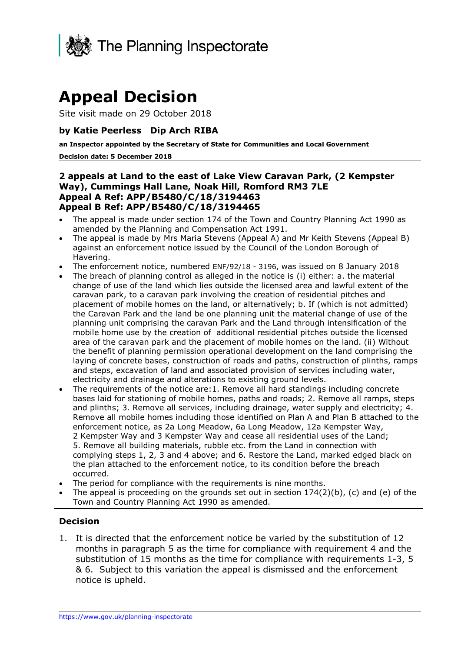

# **Appeal Decision**

Site visit made on 29 October 2018

### **by Katie Peerless Dip Arch RIBA**

 **an Inspector appointed by the Secretary of State for Communities and Local Government** 

#### **Decision date: 5 December 2018**

#### **2 appeals at Land to the east of Lake View Caravan Park, (2 Kempster Way), Cummings Hall Lane, Noak Hill, Romford RM3 7LE Appeal A Ref: APP/B5480/C/18/3194463 Appeal B Ref: APP/B5480/C/18/3194465**

- The appeal is made under section 174 of the Town and Country Planning Act 1990 as amended by the Planning and Compensation Act 1991.
- The appeal is made by Mrs Maria Stevens (Appeal A) and Mr Keith Stevens (Appeal B) against an enforcement notice issued by the Council of the London Borough of Havering.
- The enforcement notice, numbered ENF/92/18 3196, was issued on 8 January 2018
- the Caravan Park and the land be one planning unit the material change of use of the planning unit comprising the caravan Park and the Land through intensification of the The breach of planning control as alleged in the notice is (i) either: a. the material change of use of the land which lies outside the licensed area and lawful extent of the caravan park, to a caravan park involving the creation of residential pitches and placement of mobile homes on the land, or alternatively; b. If (which is not admitted) mobile home use by the creation of additional residential pitches outside the licensed area of the caravan park and the placement of mobile homes on the land. (ii) Without the benefit of planning permission operational development on the land comprising the laying of concrete bases, construction of roads and paths, construction of plinths, ramps and steps, excavation of land and associated provision of services including water, electricity and drainage and alterations to existing ground levels.
- enforcement notice, as 2a Long Meadow, 6a Long Meadow, 12a Kempster Way, 2 Kempster Way and 3 Kempster Way and cease all residential uses of the Land; 5. Remove all building materials, rubble etc. from the Land in connection with complying steps 1, 2, 3 and 4 above; and 6. Restore the Land, marked edged black on The requirements of the notice are:1. Remove all hard standings including concrete bases laid for stationing of mobile homes, paths and roads; 2. Remove all ramps, steps and plinths; 3. Remove all services, including drainage, water supply and electricity; 4. Remove all mobile homes including those identified on Plan A and Plan B attached to the the plan attached to the enforcement notice, to its condition before the breach occurred.
- The period for compliance with the requirements is nine months.
- The appeal is proceeding on the grounds set out in section  $174(2)(b)$ , (c) and (e) of the Town and Country Planning Act 1990 as amended.

#### **Decision**

 months in paragraph 5 as the time for compliance with requirement 4 and the & 6. Subject to this variation the appeal is dismissed and the enforcement 1. It is directed that the enforcement notice be varied by the substitution of 12 substitution of 15 months as the time for compliance with requirements 1-3, 5 notice is upheld.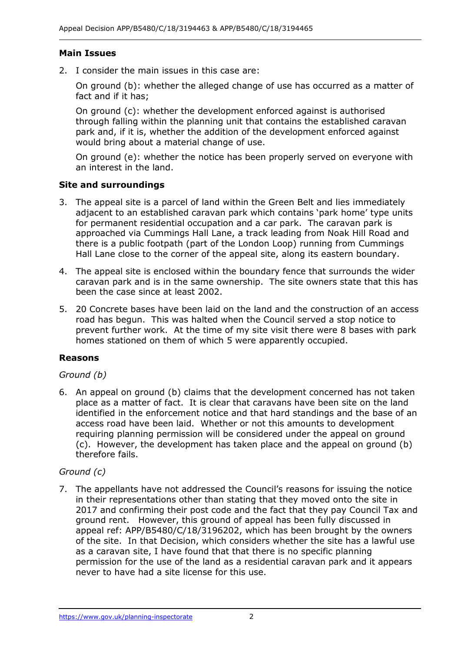### **Main Issues**

2. I consider the main issues in this case are:

 On ground (b): whether the alleged change of use has occurred as a matter of fact and if it has;

 On ground (c): whether the development enforced against is authorised through falling within the planning unit that contains the established caravan park and, if it is, whether the addition of the development enforced against would bring about a material change of use.

 On ground (e): whether the notice has been properly served on everyone with an interest in the land.

### **Site and surroundings**

- 3. The appeal site is a parcel of land within the Green Belt and lies immediately adjacent to an established caravan park which contains 'park home' type units for permanent residential occupation and a car park. The caravan park is approached via Cummings Hall Lane, a track leading from Noak Hill Road and there is a public footpath (part of the London Loop) running from Cummings Hall Lane close to the corner of the appeal site, along its eastern boundary.
- caravan park and is in the same ownership. The site owners state that this has been the case since at least 2002. 4. The appeal site is enclosed within the boundary fence that surrounds the wider
- 5. 20 Concrete bases have been laid on the land and the construction of an access road has begun. This was halted when the Council served a stop notice to prevent further work. At the time of my site visit there were 8 bases with park homes stationed on them of which 5 were apparently occupied.

#### **Reasons**

#### *Ground (b)*

 place as a matter of fact. It is clear that caravans have been site on the land identified in the enforcement notice and that hard standings and the base of an access road have been laid. Whether or not this amounts to development requiring planning permission will be considered under the appeal on ground (c). However, the development has taken place and the appeal on ground (b) 6. An appeal on ground (b) claims that the development concerned has not taken therefore fails.

## *Ground (c)*

 in their representations other than stating that they moved onto the site in 2017 and confirming their post code and the fact that they pay Council Tax and ground rent. However, this ground of appeal has been fully discussed in appeal ref: APP/B5480/C/18/3196202, which has been brought by the owners of the site. In that Decision, which considers whether the site has a lawful use permission for the use of the land as a residential caravan park and it appears never to have had a site license for this use. 7. The appellants have not addressed the Council's reasons for issuing the notice as a caravan site, I have found that that there is no specific planning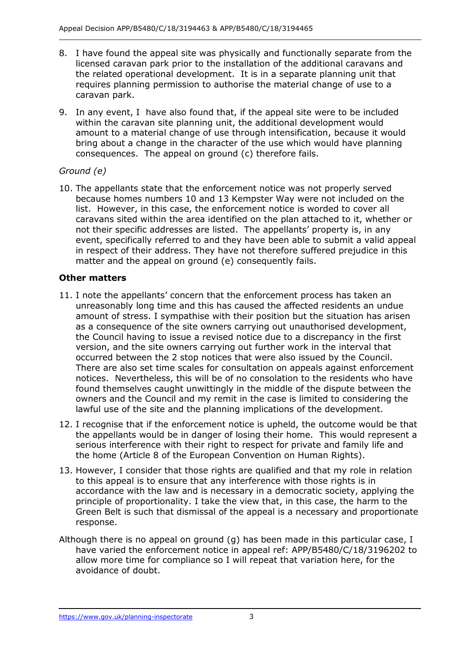- 8. I have found the appeal site was physically and functionally separate from the the related operational development. It is in a separate planning unit that requires planning permission to authorise the material change of use to a caravan park. licensed caravan park prior to the installation of the additional caravans and
- caravan park.<br>9. In any event, I have also found that, if the appeal site were to be included within the caravan site planning unit, the additional development would amount to a material change of use through intensification, because it would bring about a change in the character of the use which would have planning consequences. The appeal on ground (c) therefore fails.

## *Ground (e)*

 10. The appellants state that the enforcement notice was not properly served because homes numbers 10 and 13 Kempster Way were not included on the list. However, in this case, the enforcement notice is worded to cover all caravans sited within the area identified on the plan attached to it, whether or not their specific addresses are listed. The appellants' property is, in any event, specifically referred to and they have been able to submit a valid appeal in respect of their address. They have not therefore suffered prejudice in this matter and the appeal on ground (e) consequently fails.

## **Other matters**

- unreasonably long time and this has caused the affected residents an undue as a consequence of the site owners carrying out unauthorised development, the Council having to issue a revised notice due to a discrepancy in the first version, and the site owners carrying out further work in the interval that occurred between the 2 stop notices that were also issued by the Council. notices. Nevertheless, this will be of no consolation to the residents who have owners and the Council and my remit in the case is limited to considering the 11. I note the appellants' concern that the enforcement process has taken an amount of stress. I sympathise with their position but the situation has arisen There are also set time scales for consultation on appeals against enforcement found themselves caught unwittingly in the middle of the dispute between the lawful use of the site and the planning implications of the development.
- 12. I recognise that if the enforcement notice is upheld, the outcome would be that the appellants would be in danger of losing their home. This would represent a serious interference with their right to respect for private and family life and the home (Article 8 of the European Convention on Human Rights).
- the home (Article 8 of the European Convention on Human Rights). 13. However, I consider that those rights are qualified and that my role in relation to this appeal is to ensure that any interference with those rights is in accordance with the law and is necessary in a democratic society, applying the principle of proportionality. I take the view that, in this case, the harm to the Green Belt is such that dismissal of the appeal is a necessary and proportionate response.
- Although there is no appeal on ground (g) has been made in this particular case, I allow more time for compliance so I will repeat that variation here, for the have varied the enforcement notice in appeal ref: APP/B5480/C/18/3196202 to avoidance of doubt.